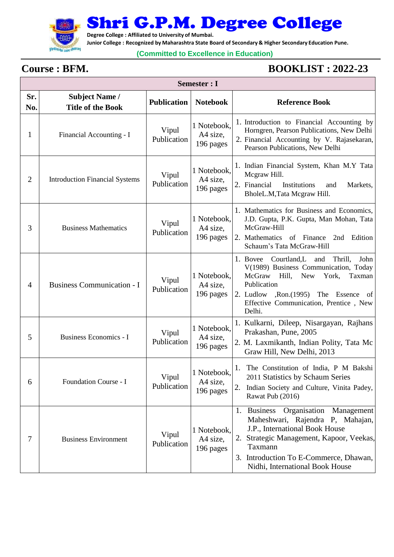

Shri G.P.M. Degree College

**Degree College : Affiliated to University of Mumbai.**

**Junior College : Recognized by Maharashtra State Board of Secondary & Higher Secondary Education Pune.**

## **(Committed to Excellence in Education)**

Г

## **Course : BFM. BOOKLIST : 2022-23**

┑

| Semester : I   |                                                   |                      |                                      |                                                                                                                                                                                                                                                             |  |
|----------------|---------------------------------------------------|----------------------|--------------------------------------|-------------------------------------------------------------------------------------------------------------------------------------------------------------------------------------------------------------------------------------------------------------|--|
| Sr.<br>No.     | <b>Subject Name /</b><br><b>Title of the Book</b> | <b>Publication</b>   | <b>Notebook</b>                      | <b>Reference Book</b>                                                                                                                                                                                                                                       |  |
| 1              | Financial Accounting - I                          | Vipul<br>Publication | 1 Notebook,<br>A4 size,<br>196 pages | 1. Introduction to Financial Accounting by<br>Horngren, Pearson Publications, New Delhi<br>2. Financial Accounting by V. Rajasekaran,<br>Pearson Publications, New Delhi                                                                                    |  |
| $\overline{2}$ | <b>Introduction Financial Systems</b>             | Vipul<br>Publication | 1 Notebook,<br>A4 size,<br>196 pages | 1. Indian Financial System, Khan M.Y Tata<br>Mcgraw Hill.<br>2. Financial<br>Institutions<br>Markets,<br>and<br>BholeL.M, Tata Mcgraw Hill.                                                                                                                 |  |
| 3              | <b>Business Mathematics</b>                       | Vipul<br>Publication | 1 Notebook,<br>A4 size,<br>196 pages | 1. Mathematics for Business and Economics,<br>J.D. Gupta, P.K. Gupta, Man Mohan, Tata<br>McGraw-Hill<br>2. Mathematics of Finance<br>2nd<br>Edition<br>Schaum's Tata McGraw-Hill                                                                            |  |
| 4              | <b>Business Communication - I</b>                 | Vipul<br>Publication | 1 Notebook,<br>A4 size,<br>196 pages | 1. Bovee Courtland, L<br>and<br>Thrill,<br>John<br>V(1989) Business Communication, Today<br>McGraw Hill,<br><b>New</b><br>York,<br>Taxman<br>Publication<br>2. Ludlow , Ron. (1995) The Essence<br>of  <br>Effective Communication, Prentice, New<br>Delhi. |  |
| 5              | Business Economics - I                            | Vipul<br>Publication | 1 Notebook,<br>A4 size,<br>196 pages | 1. Kulkarni, Dileep, Nisargayan, Rajhans<br>Prakashan, Pune, 2005<br>2. M. Laxmikanth, Indian Polity, Tata Mc<br>Graw Hill, New Delhi, 2013                                                                                                                 |  |
| 6              | Foundation Course - I                             | Vipul<br>Publication | 1 Notebook,<br>A4 size,<br>196 pages | The Constitution of India, P M Bakshi<br>1.<br>2011 Statistics by Schaum Series<br>Indian Society and Culture, Vinita Padey,<br>2.<br>Rawat Pub (2016)                                                                                                      |  |
| 7              | <b>Business Environment</b>                       | Vipul<br>Publication | 1 Notebook,<br>A4 size,<br>196 pages | Organisation<br>1. Business<br>Management<br>Maheshwari, Rajendra P, Mahajan,<br>J.P., International Book House<br>Strategic Management, Kapoor, Veekas,<br>2.<br>Taxmann<br>3. Introduction To E-Commerce, Dhawan,<br>Nidhi, International Book House      |  |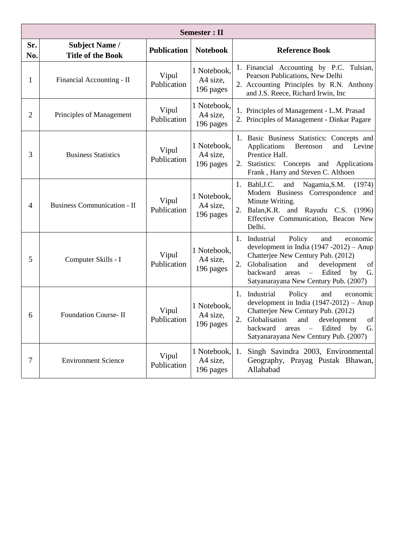| <b>Semester</b> : II |                                                   |                      |                                      |                                                                                                                                                                                                                                                                                         |  |
|----------------------|---------------------------------------------------|----------------------|--------------------------------------|-----------------------------------------------------------------------------------------------------------------------------------------------------------------------------------------------------------------------------------------------------------------------------------------|--|
| Sr.<br>No.           | <b>Subject Name /</b><br><b>Title of the Book</b> | <b>Publication</b>   | <b>Notebook</b>                      | <b>Reference Book</b>                                                                                                                                                                                                                                                                   |  |
| 1                    | Financial Accounting - II                         | Vipul<br>Publication | 1 Notebook,<br>A4 size,<br>196 pages | 1. Financial Accounting by P.C. Tulsian,<br>Pearson Publications, New Delhi<br>2. Accounting Principles by R.N. Anthony<br>and J.S. Reece, Richard Irwin, Inc                                                                                                                           |  |
| $\overline{2}$       | Principles of Management                          | Vipul<br>Publication | 1 Notebook,<br>A4 size,<br>196 pages | 1. Principles of Management - L.M. Prasad<br>2. Principles of Management - Dinkar Pagare                                                                                                                                                                                                |  |
| 3                    | <b>Business Statistics</b>                        | Vipul<br>Publication | 1 Notebook,<br>A4 size,<br>196 pages | 1. Basic Business Statistics: Concepts and<br>Applications<br>Berenson<br>and<br>Levine<br>Prentice Hall.<br>Statistics: Concepts and Applications<br>2.<br>Frank, Harry and Steven C. Althoen                                                                                          |  |
| 4                    | <b>Business Communication - II</b>                | Vipul<br>Publication | 1 Notebook,<br>A4 size,<br>196 pages | Bahl, J.C.<br>Nagamia, S.M.<br>1.<br>and<br>(1974)<br>Modern Business Correspondence and<br>Minute Writing.<br>2.<br>Balan, K.R. and Rayudu C.S. (1996)<br>Effective Communication, Beacon New<br>Delhi.                                                                                |  |
| 5                    | Computer Skills - I                               | Vipul<br>Publication | 1 Notebook,<br>A4 size,<br>196 pages | Industrial<br>Policy<br>1.<br>and<br>economic<br>development in India $(1947 - 2012)$ – Anup<br>Chatterjee New Century Pub. (2012)<br>2.<br>Globalisation<br>and<br>development<br>of<br>Edited<br>backward<br>$\equiv$<br>G.<br>areas<br>by<br>Satyanarayana New Century Pub. (2007)   |  |
| 6                    | Foundation Course- II                             | Vipul<br>Publication | 1 Notebook,<br>A4 size,<br>196 pages | 1. Industrial<br>Policy<br>and<br>economic<br>development in India $(1947-2012)$ – Anup<br>Chatterjee New Century Pub. (2012)<br>2.<br>Globalisation and development of<br>$\overline{\phantom{a}}$<br>Edited<br>by<br>backward<br>G.<br>areas<br>Satyanarayana New Century Pub. (2007) |  |
| 7                    | <b>Environment Science</b>                        | Vipul<br>Publication | 1 Notebook,<br>A4 size,<br>196 pages | Singh Savindra 2003, Environmental<br>1.<br>Geography, Prayag Pustak Bhawan,<br>Allahabad                                                                                                                                                                                               |  |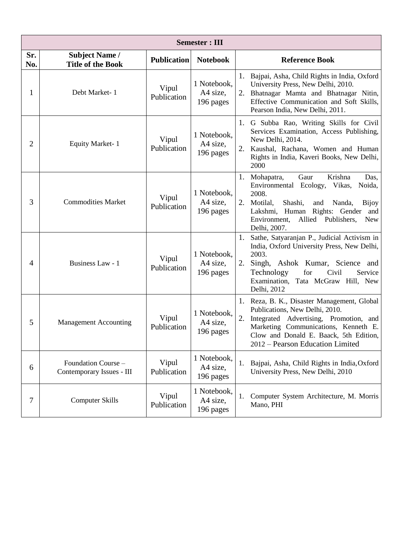| <b>Semester: III</b> |                                                   |                      |                                      |                                                                                                                                                                                                                                                                                 |  |  |
|----------------------|---------------------------------------------------|----------------------|--------------------------------------|---------------------------------------------------------------------------------------------------------------------------------------------------------------------------------------------------------------------------------------------------------------------------------|--|--|
| Sr.<br>No.           | <b>Subject Name /</b><br><b>Title of the Book</b> | <b>Publication</b>   | <b>Notebook</b>                      | <b>Reference Book</b>                                                                                                                                                                                                                                                           |  |  |
| 1                    | Debt Market-1                                     | Vipul<br>Publication | 1 Notebook,<br>A4 size,<br>196 pages | 1.<br>Bajpai, Asha, Child Rights in India, Oxford<br>University Press, New Delhi, 2010.<br>2.<br>Bhatnagar Mamta and Bhatnagar Nitin,<br>Effective Communication and Soft Skills,<br>Pearson India, New Delhi, 2011.                                                            |  |  |
| 2                    | <b>Equity Market-1</b>                            | Vipul<br>Publication | 1 Notebook,<br>A4 size,<br>196 pages | 1. G Subba Rao, Writing Skills for Civil<br>Services Examination, Access Publishing,<br>New Delhi, 2014.<br>2.<br>Kaushal, Rachana, Women and Human<br>Rights in India, Kaveri Books, New Delhi,<br>2000                                                                        |  |  |
| 3                    | <b>Commodities Market</b>                         | Vipul<br>Publication | 1 Notebook,<br>A4 size,<br>196 pages | Krishna<br>1.<br>Mohapatra,<br>Gaur<br>Das,<br>Vikas,<br>Environmental Ecology,<br>Noida,<br>2008.<br>2.<br>Shashi,<br>Motilal,<br>Nanda,<br>and<br><b>Bijoy</b><br>Rights: Gender<br>and<br>Lakshmi, Human<br>Environment,<br>Allied Publishers,<br><b>New</b><br>Delhi, 2007. |  |  |
| 4                    | Business Law - 1                                  | Vipul<br>Publication | 1 Notebook,<br>A4 size,<br>196 pages | Sathe, Satyaranjan P., Judicial Activism in<br>India, Oxford University Press, New Delhi,<br>2003.<br>2.<br>Singh, Ashok Kumar, Science and<br>Technology<br>for<br>Civil<br>Service<br>Examination, Tata McGraw Hill, New<br>Delhi, 2012                                       |  |  |
| 5                    | <b>Management Accounting</b>                      | Vipul<br>Publication | 1 Notebook,<br>A4 size,<br>196 pages | Reza, B. K., Disaster Management, Global<br>1.<br>Publications, New Delhi, 2010.<br>2.<br>Integrated Advertising, Promotion, and<br>Marketing Communications, Kenneth E.<br>Clow and Donald E. Baack, 5th Edition,<br>2012 – Pearson Education Limited                          |  |  |
| 6                    | Foundation Course -<br>Contemporary Issues - III  | Vipul<br>Publication | 1 Notebook,<br>A4 size,<br>196 pages | Bajpai, Asha, Child Rights in India, Oxford<br>1.<br>University Press, New Delhi, 2010                                                                                                                                                                                          |  |  |
| 7                    | <b>Computer Skills</b>                            | Vipul<br>Publication | 1 Notebook,<br>A4 size,<br>196 pages | Computer System Architecture, M. Morris<br>1.<br>Mano, PHI                                                                                                                                                                                                                      |  |  |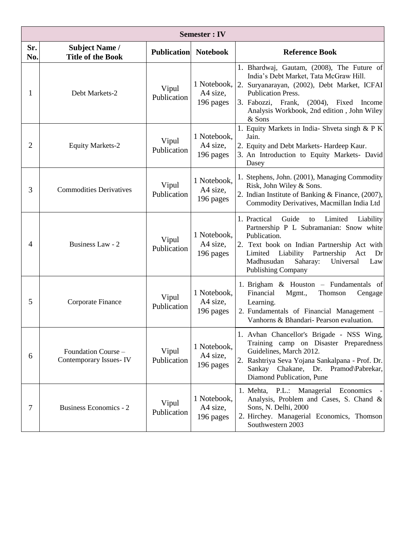|            | <b>Semester: IV</b>                               |                             |                                      |                                                                                                                                                                                                                                                                                           |  |  |  |
|------------|---------------------------------------------------|-----------------------------|--------------------------------------|-------------------------------------------------------------------------------------------------------------------------------------------------------------------------------------------------------------------------------------------------------------------------------------------|--|--|--|
| Sr.<br>No. | <b>Subject Name /</b><br><b>Title of the Book</b> | <b>Publication</b> Notebook |                                      | <b>Reference Book</b>                                                                                                                                                                                                                                                                     |  |  |  |
| 1          | Debt Markets-2                                    | Vipul<br>Publication        | 1 Notebook,<br>A4 size,<br>196 pages | 1. Bhardwaj, Gautam, (2008), The Future of<br>India's Debt Market, Tata McGraw Hill.<br>2. Suryanarayan, (2002), Debt Market, ICFAI<br>Publication Press.<br>3. Fabozzi, Frank,<br>$(2004)$ , Fixed<br>Income<br>Analysis Workbook, 2nd edition, John Wiley<br>& Sons                     |  |  |  |
| 2          | <b>Equity Markets-2</b>                           | Vipul<br>Publication        | 1 Notebook,<br>A4 size,<br>196 pages | 1. Equity Markets in India- Shveta singh & P K<br>Jain.<br>2. Equity and Debt Markets-Hardeep Kaur.<br>3. An Introduction to Equity Markets- David<br>Dasey                                                                                                                               |  |  |  |
| 3          | <b>Commodities Derivatives</b>                    | Vipul<br>Publication        | 1 Notebook,<br>A4 size,<br>196 pages | 1. Stephens, John. (2001), Managing Commodity<br>Risk, John Wiley & Sons.<br>2. Indian Institute of Banking & Finance, (2007),<br>Commodity Derivatives, Macmillan India Ltd                                                                                                              |  |  |  |
| 4          | Business Law - 2                                  | Vipul<br>Publication        | 1 Notebook,<br>A4 size,<br>196 pages | 1. Practical<br>Guide<br>Limited<br>to<br>Liability<br>Partnership P L Subramanian: Snow white<br>Publication.<br>2. Text book on Indian Partnership Act with<br>Liability Partnership<br>Limited<br>Act<br>Dr<br>Madhusudan<br>Saharay:<br>Universal<br>Law<br><b>Publishing Company</b> |  |  |  |
| 5          | Corporate Finance                                 | Vipul<br>Publication        | 1 Notebook,<br>A4 size,<br>196 pages | 1. Brigham $\&$ Houston – Fundamentals of<br>Financial<br>Mgmt.,<br>Thomson<br>Cengage<br>Learning.<br>2. Fundamentals of Financial Management -<br>Vanhorns & Bhandari- Pearson evaluation.                                                                                              |  |  |  |
| 6          | Foundation Course -<br>Contemporary Issues-IV     | Vipul<br>Publication        | 1 Notebook,<br>A4 size,<br>196 pages | 1. Avhan Chancellor's Brigade - NSS Wing,<br>Training camp on Disaster Preparedness<br>Guidelines, March 2012.<br>2. Rashtriya Seva Yojana Sankalpana - Prof. Dr.<br>Sankay Chakane, Dr. Pramod\Pabrekar,<br>Diamond Publication, Pune                                                    |  |  |  |
| 7          | <b>Business Economics - 2</b>                     | Vipul<br>Publication        | 1 Notebook,<br>A4 size,<br>196 pages | 1. Mehta, P.L.: Managerial Economics<br>Analysis, Problem and Cases, S. Chand &<br>Sons, N. Delhi, 2000<br>2. Hirchey. Managerial Economics, Thomson<br>Southwestern 2003                                                                                                                 |  |  |  |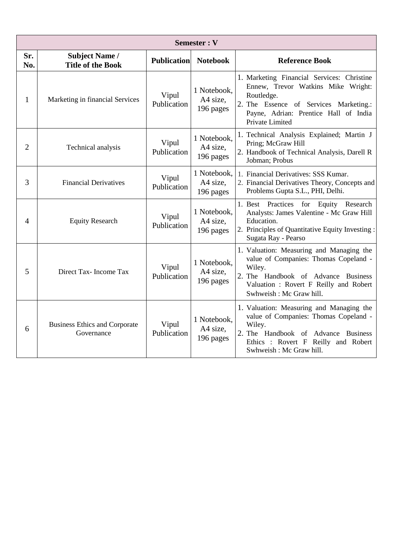| <b>Semester: V</b> |                                                    |                      |                                      |                                                                                                                                                                                                        |  |
|--------------------|----------------------------------------------------|----------------------|--------------------------------------|--------------------------------------------------------------------------------------------------------------------------------------------------------------------------------------------------------|--|
| Sr.<br>No.         | <b>Subject Name /</b><br><b>Title of the Book</b>  | <b>Publication</b>   | <b>Notebook</b>                      | <b>Reference Book</b>                                                                                                                                                                                  |  |
| 1                  | Marketing in financial Services                    | Vipul<br>Publication | 1 Notebook,<br>A4 size.<br>196 pages | 1. Marketing Financial Services: Christine<br>Ennew, Trevor Watkins Mike Wright:<br>Routledge.<br>2. The Essence of Services Marketing.:<br>Payne, Adrian: Prentice Hall of India<br>Private Limited   |  |
| $\overline{2}$     | Technical analysis                                 | Vipul<br>Publication | 1 Notebook,<br>A4 size,<br>196 pages | 1. Technical Analysis Explained; Martin J<br>Pring; McGraw Hill<br>2. Handbook of Technical Analysis, Darell R<br>Jobman; Probus                                                                       |  |
| 3                  | <b>Financial Derivatives</b>                       | Vipul<br>Publication | 1 Notebook,<br>A4 size,<br>196 pages | 1. Financial Derivatives: SSS Kumar.<br>2. Financial Derivatives Theory, Concepts and<br>Problems Gupta S.L., PHI, Delhi.                                                                              |  |
| $\overline{4}$     | <b>Equity Research</b>                             | Vipul<br>Publication | 1 Notebook,<br>A4 size,<br>196 pages | 1. Best Practices for Equity Research<br>Analysts: James Valentine - Mc Graw Hill<br>Education.<br>2. Principles of Quantitative Equity Investing :<br>Sugata Ray - Pearso                             |  |
| 5                  | Direct Tax-Income Tax                              | Vipul<br>Publication | 1 Notebook,<br>A4 size,<br>196 pages | 1. Valuation: Measuring and Managing the<br>value of Companies: Thomas Copeland -<br>Wiley.<br>2. The Handbook of Advance Business<br>Valuation: Rovert F Reilly and Robert<br>Swhweish: Mc Graw hill. |  |
| 6                  | <b>Business Ethics and Corporate</b><br>Governance | Vipul<br>Publication | 1 Notebook,<br>A4 size,<br>196 pages | 1. Valuation: Measuring and Managing the<br>value of Companies: Thomas Copeland -<br>Wiley.<br>2. The Handbook of Advance Business<br>Ethics: Rovert F Reilly and Robert<br>Swhweish: Mc Graw hill.    |  |